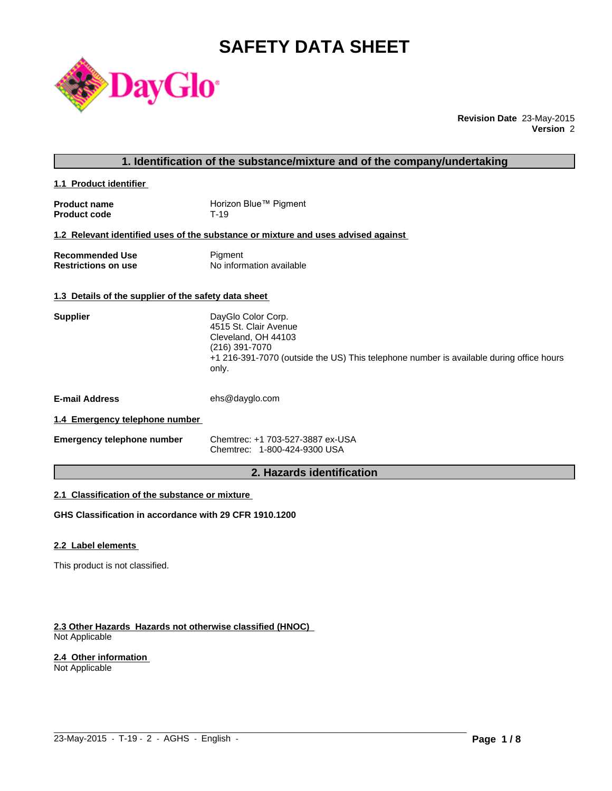# **SAFETY DATA SHEET**



**Revision Date** 23-May-2015 **Version** 2

### **1. Identification of the substance/mixture and of the company/undertaking**

**1.1 Product identifier** 

| <b>Product name</b> | Horizon Blue™ Pigment |
|---------------------|-----------------------|
| <b>Product code</b> | T-19                  |

#### **1.2 Relevant identified uses of the substance or mixture and uses advised against**

| <b>Recommended Use</b>     | Pigment                  |
|----------------------------|--------------------------|
| <b>Restrictions on use</b> | No information available |

#### **1.3 Details of the supplier of the safety data sheet**

| <b>Supplier</b>                | DayGlo Color Corp.<br>4515 St. Clair Avenue<br>Cleveland, OH 44103<br>(216) 391-7070<br>+1 216-391-7070 (outside the US) This telephone number is available during office hours<br>only. |
|--------------------------------|------------------------------------------------------------------------------------------------------------------------------------------------------------------------------------------|
| <b>E-mail Address</b>          | ehs@dayglo.com                                                                                                                                                                           |
| 1.4 Emergency telephone number |                                                                                                                                                                                          |

| <b>Emergency telephone number</b> | Chemtrec: +1 703-527-3887 ex-USA |
|-----------------------------------|----------------------------------|
|                                   | Chemtrec: 1-800-424-9300 USA     |

# **2. Hazards identification**

 $\_$  ,  $\_$  ,  $\_$  ,  $\_$  ,  $\_$  ,  $\_$  ,  $\_$  ,  $\_$  ,  $\_$  ,  $\_$  ,  $\_$  ,  $\_$  ,  $\_$  ,  $\_$  ,  $\_$  ,  $\_$  ,  $\_$  ,  $\_$  ,  $\_$  ,  $\_$  ,  $\_$  ,  $\_$  ,  $\_$  ,  $\_$  ,  $\_$  ,  $\_$  ,  $\_$  ,  $\_$  ,  $\_$  ,  $\_$  ,  $\_$  ,  $\_$  ,  $\_$  ,  $\_$  ,  $\_$  ,  $\_$  ,  $\_$  ,

# **2.1 Classification of the substance or mixture**

**GHS Classification in accordance with 29 CFR 1910.1200**

#### **2.2 Label elements**

This product is not classified.

#### **2.3 Other Hazards Hazards not otherwise classified (HNOC)**  Not Applicable

#### **2.4 Other information**

Not Applicable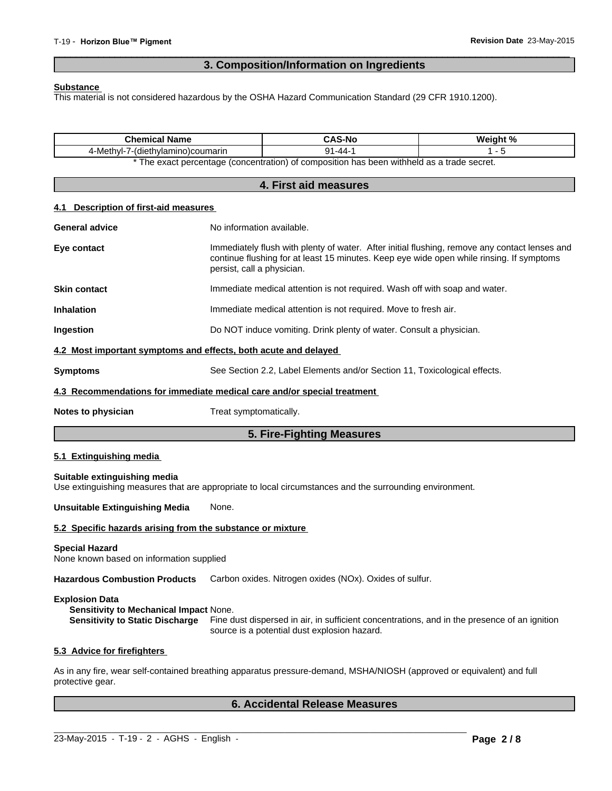# **3. Composition/Information on Ingredients**

 $\overline{\phantom{a}}$  ,  $\overline{\phantom{a}}$  ,  $\overline{\phantom{a}}$  ,  $\overline{\phantom{a}}$  ,  $\overline{\phantom{a}}$  ,  $\overline{\phantom{a}}$  ,  $\overline{\phantom{a}}$  ,  $\overline{\phantom{a}}$  ,  $\overline{\phantom{a}}$  ,  $\overline{\phantom{a}}$  ,  $\overline{\phantom{a}}$  ,  $\overline{\phantom{a}}$  ,  $\overline{\phantom{a}}$  ,  $\overline{\phantom{a}}$  ,  $\overline{\phantom{a}}$  ,  $\overline{\phantom{a}}$ 

#### **Substance**

This material is not considered hazardous by the OSHA Hazard Communication Standard (29 CFR 1910.1200).

| <b>Chemical Name</b>                                                                                                                      |                                                                                                                                                                                                                         | <b>CAS-No</b>                                                                                               | Weight %                                                                                     |
|-------------------------------------------------------------------------------------------------------------------------------------------|-------------------------------------------------------------------------------------------------------------------------------------------------------------------------------------------------------------------------|-------------------------------------------------------------------------------------------------------------|----------------------------------------------------------------------------------------------|
| 4-Methyl-7-(diethylamino)coumarin                                                                                                         |                                                                                                                                                                                                                         | $91 - 44 - 1$<br>* The exact percentage (concentration) of composition has been withheld as a trade secret. | $1 - 5$                                                                                      |
|                                                                                                                                           |                                                                                                                                                                                                                         |                                                                                                             |                                                                                              |
|                                                                                                                                           |                                                                                                                                                                                                                         | 4. First aid measures                                                                                       |                                                                                              |
| <b>Description of first-aid measures</b><br>4.1                                                                                           |                                                                                                                                                                                                                         |                                                                                                             |                                                                                              |
| <b>General advice</b>                                                                                                                     | No information available.                                                                                                                                                                                               |                                                                                                             |                                                                                              |
| Eye contact                                                                                                                               | Immediately flush with plenty of water. After initial flushing, remove any contact lenses and<br>continue flushing for at least 15 minutes. Keep eye wide open while rinsing. If symptoms<br>persist, call a physician. |                                                                                                             |                                                                                              |
| <b>Skin contact</b>                                                                                                                       |                                                                                                                                                                                                                         | Immediate medical attention is not required. Wash off with soap and water.                                  |                                                                                              |
| <b>Inhalation</b>                                                                                                                         |                                                                                                                                                                                                                         | Immediate medical attention is not required. Move to fresh air.                                             |                                                                                              |
| Ingestion                                                                                                                                 |                                                                                                                                                                                                                         | Do NOT induce vomiting. Drink plenty of water. Consult a physician.                                         |                                                                                              |
| 4.2 Most important symptoms and effects, both acute and delayed                                                                           |                                                                                                                                                                                                                         |                                                                                                             |                                                                                              |
| <b>Symptoms</b>                                                                                                                           |                                                                                                                                                                                                                         | See Section 2.2, Label Elements and/or Section 11, Toxicological effects.                                   |                                                                                              |
| 4.3 Recommendations for immediate medical care and/or special treatment                                                                   |                                                                                                                                                                                                                         |                                                                                                             |                                                                                              |
| Notes to physician                                                                                                                        | Treat symptomatically.                                                                                                                                                                                                  |                                                                                                             |                                                                                              |
|                                                                                                                                           |                                                                                                                                                                                                                         | 5. Fire-Fighting Measures                                                                                   |                                                                                              |
| 5.1 Extinguishing media                                                                                                                   |                                                                                                                                                                                                                         |                                                                                                             |                                                                                              |
| Suitable extinguishing media<br>Use extinguishing measures that are appropriate to local circumstances and the surrounding environment.   |                                                                                                                                                                                                                         |                                                                                                             |                                                                                              |
| <b>Unsuitable Extinguishing Media</b>                                                                                                     | None.                                                                                                                                                                                                                   |                                                                                                             |                                                                                              |
| 5.2 Specific hazards arising from the substance or mixture                                                                                |                                                                                                                                                                                                                         |                                                                                                             |                                                                                              |
| <b>Special Hazard</b><br>None known based on information supplied                                                                         |                                                                                                                                                                                                                         |                                                                                                             |                                                                                              |
| Hazardous Combustion Products Carbon oxides. Nitrogen oxides (NOx). Oxides of sulfur.                                                     |                                                                                                                                                                                                                         |                                                                                                             |                                                                                              |
| <b>Explosion Data</b><br>Sensitivity to Mechanical Impact None.<br><b>Sensitivity to Static Discharge</b>                                 |                                                                                                                                                                                                                         | source is a potential dust explosion hazard.                                                                | Fine dust dispersed in air, in sufficient concentrations, and in the presence of an ignition |
| 5.3 Advice for firefighters                                                                                                               |                                                                                                                                                                                                                         |                                                                                                             |                                                                                              |
| As in any fire, wear self-contained breathing apparatus pressure-demand, MSHA/NIOSH (approved or equivalent) and full<br>protective gear. |                                                                                                                                                                                                                         |                                                                                                             |                                                                                              |
|                                                                                                                                           |                                                                                                                                                                                                                         | <b>6. Accidental Release Measures</b>                                                                       |                                                                                              |

 $\_$  ,  $\_$  ,  $\_$  ,  $\_$  ,  $\_$  ,  $\_$  ,  $\_$  ,  $\_$  ,  $\_$  ,  $\_$  ,  $\_$  ,  $\_$  ,  $\_$  ,  $\_$  ,  $\_$  ,  $\_$  ,  $\_$  ,  $\_$  ,  $\_$  ,  $\_$  ,  $\_$  ,  $\_$  ,  $\_$  ,  $\_$  ,  $\_$  ,  $\_$  ,  $\_$  ,  $\_$  ,  $\_$  ,  $\_$  ,  $\_$  ,  $\_$  ,  $\_$  ,  $\_$  ,  $\_$  ,  $\_$  ,  $\_$  ,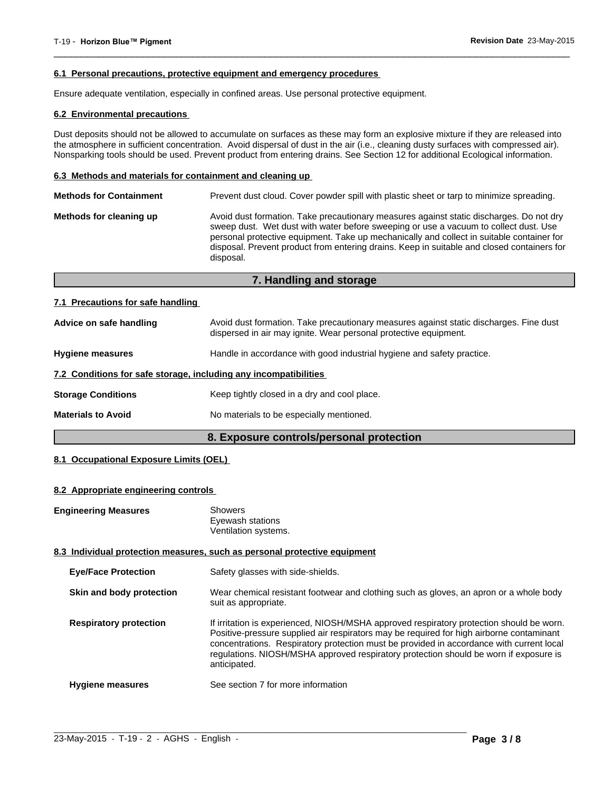#### **6.1 Personal precautions, protective equipment and emergency procedures**

Ensure adequate ventilation, especially in confined areas. Use personal protective equipment.

#### **6.2 Environmental precautions**

Dust deposits should not be allowed to accumulate on surfaces as these may form an explosive mixture if they are released into the atmosphere in sufficient concentration. Avoid dispersal of dust in the air (i.e., cleaning dusty surfaces with compressed air). Nonsparking tools should be used. Prevent product from entering drains. See Section 12 for additional Ecological information.

 $\overline{\phantom{a}}$  ,  $\overline{\phantom{a}}$  ,  $\overline{\phantom{a}}$  ,  $\overline{\phantom{a}}$  ,  $\overline{\phantom{a}}$  ,  $\overline{\phantom{a}}$  ,  $\overline{\phantom{a}}$  ,  $\overline{\phantom{a}}$  ,  $\overline{\phantom{a}}$  ,  $\overline{\phantom{a}}$  ,  $\overline{\phantom{a}}$  ,  $\overline{\phantom{a}}$  ,  $\overline{\phantom{a}}$  ,  $\overline{\phantom{a}}$  ,  $\overline{\phantom{a}}$  ,  $\overline{\phantom{a}}$ 

#### **6.3 Methods and materials for containment and cleaning up**

| Avoid dust formation. Take precautionary measures against static discharges. Do not dry<br>Methods for cleaning up<br>sweep dust. Wet dust with water before sweeping or use a vacuum to collect dust. Use<br>personal protective equipment. Take up mechanically and collect in suitable container for<br>disposal. Prevent product from entering drains. Keep in suitable and closed containers for<br>disposal. |  |
|--------------------------------------------------------------------------------------------------------------------------------------------------------------------------------------------------------------------------------------------------------------------------------------------------------------------------------------------------------------------------------------------------------------------|--|

# **7. Handling and storage**

#### **7.1 Precautions for safe handling**

|                           | 8. Exposure controls/personal protection                                                                                                                   |
|---------------------------|------------------------------------------------------------------------------------------------------------------------------------------------------------|
| <b>Materials to Avoid</b> | No materials to be especially mentioned.                                                                                                                   |
| <b>Storage Conditions</b> | Keep tightly closed in a dry and cool place.                                                                                                               |
|                           | 7.2 Conditions for safe storage, including any incompatibilities                                                                                           |
| <b>Hygiene measures</b>   | Handle in accordance with good industrial hygiene and safety practice.                                                                                     |
| Advice on safe handling   | Avoid dust formation. Take precautionary measures against static discharges. Fine dust<br>dispersed in air may ignite. Wear personal protective equipment. |

#### **8.1 Occupational Exposure Limits (OEL)**

#### **8.2 Appropriate engineering controls**

| <b>Engineering Measures</b> | Showers              |
|-----------------------------|----------------------|
|                             | Eyewash stations     |
|                             | Ventilation systems. |

#### **8.3 Individual protection measures, such as personal protective equipment**

| <b>Eye/Face Protection</b>    | Safety glasses with side-shields.                                                                                                                                                                                                                                                                                                                                                         |
|-------------------------------|-------------------------------------------------------------------------------------------------------------------------------------------------------------------------------------------------------------------------------------------------------------------------------------------------------------------------------------------------------------------------------------------|
| Skin and body protection      | Wear chemical resistant footwear and clothing such as gloves, an apron or a whole body<br>suit as appropriate.                                                                                                                                                                                                                                                                            |
| <b>Respiratory protection</b> | If irritation is experienced, NIOSH/MSHA approved respiratory protection should be worn.<br>Positive-pressure supplied air respirators may be required for high airborne contaminant<br>concentrations. Respiratory protection must be provided in accordance with current local<br>regulations. NIOSH/MSHA approved respiratory protection should be worn if exposure is<br>anticipated. |
| <b>Hygiene measures</b>       | See section 7 for more information                                                                                                                                                                                                                                                                                                                                                        |

 $\_$  ,  $\_$  ,  $\_$  ,  $\_$  ,  $\_$  ,  $\_$  ,  $\_$  ,  $\_$  ,  $\_$  ,  $\_$  ,  $\_$  ,  $\_$  ,  $\_$  ,  $\_$  ,  $\_$  ,  $\_$  ,  $\_$  ,  $\_$  ,  $\_$  ,  $\_$  ,  $\_$  ,  $\_$  ,  $\_$  ,  $\_$  ,  $\_$  ,  $\_$  ,  $\_$  ,  $\_$  ,  $\_$  ,  $\_$  ,  $\_$  ,  $\_$  ,  $\_$  ,  $\_$  ,  $\_$  ,  $\_$  ,  $\_$  ,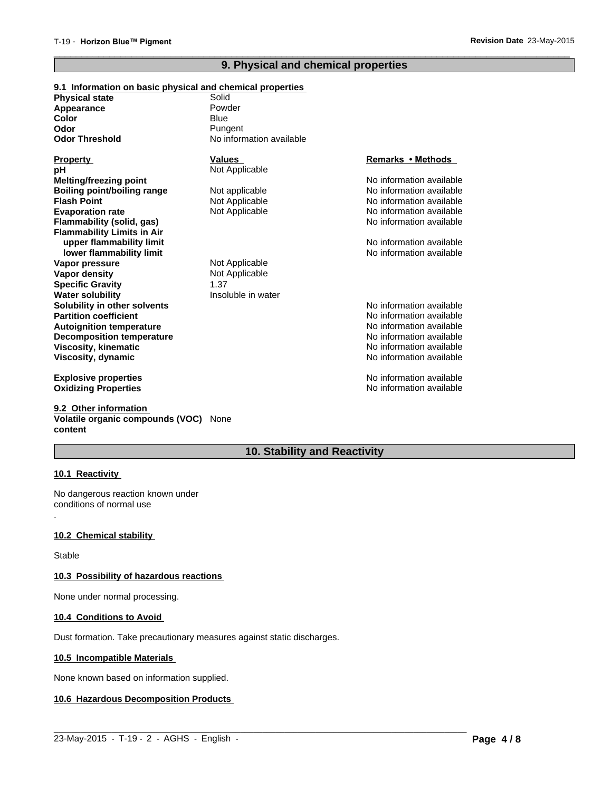# **9. Physical and chemical properties**

 $\overline{\phantom{a}}$  ,  $\overline{\phantom{a}}$  ,  $\overline{\phantom{a}}$  ,  $\overline{\phantom{a}}$  ,  $\overline{\phantom{a}}$  ,  $\overline{\phantom{a}}$  ,  $\overline{\phantom{a}}$  ,  $\overline{\phantom{a}}$  ,  $\overline{\phantom{a}}$  ,  $\overline{\phantom{a}}$  ,  $\overline{\phantom{a}}$  ,  $\overline{\phantom{a}}$  ,  $\overline{\phantom{a}}$  ,  $\overline{\phantom{a}}$  ,  $\overline{\phantom{a}}$  ,  $\overline{\phantom{a}}$ 

| 9.1 Information on basic physical and chemical properties |                          |                          |
|-----------------------------------------------------------|--------------------------|--------------------------|
| <b>Physical state</b>                                     | Solid                    |                          |
| Appearance                                                | Powder                   |                          |
| Color                                                     | Blue                     |                          |
| Odor                                                      | Pungent                  |                          |
| <b>Odor Threshold</b>                                     | No information available |                          |
| <b>Property</b>                                           | <b>Values</b>            | Remarks • Methods        |
| рH                                                        | Not Applicable           |                          |
| Melting/freezing point                                    |                          | No information available |
| <b>Boiling point/boiling range</b>                        | Not applicable           | No information available |
| <b>Flash Point</b>                                        | Not Applicable           | No information available |
| <b>Evaporation rate</b>                                   | Not Applicable           | No information available |
| <b>Flammability (solid, gas)</b>                          |                          | No information available |
| <b>Flammability Limits in Air</b>                         |                          |                          |
| upper flammability limit                                  |                          | No information available |
| lower flammability limit                                  |                          | No information available |
| Vapor pressure                                            | Not Applicable           |                          |
| Vapor density                                             | Not Applicable           |                          |
| <b>Specific Gravity</b>                                   | 1.37                     |                          |
| <b>Water solubility</b>                                   | Insoluble in water       |                          |
| Solubility in other solvents                              |                          | No information available |
| <b>Partition coefficient</b>                              |                          | No information available |
| <b>Autoignition temperature</b>                           |                          | No information available |
| <b>Decomposition temperature</b>                          |                          | No information available |
| <b>Viscosity, kinematic</b>                               |                          | No information available |
| Viscosity, dynamic                                        |                          | No information available |
| <b>Explosive properties</b>                               |                          | No information available |
| <b>Oxidizing Properties</b>                               |                          | No information available |

**9.2 Other information Volatile organic compounds (VOC)** None **content**

# **10. Stability and Reactivity**

 $\_$  ,  $\_$  ,  $\_$  ,  $\_$  ,  $\_$  ,  $\_$  ,  $\_$  ,  $\_$  ,  $\_$  ,  $\_$  ,  $\_$  ,  $\_$  ,  $\_$  ,  $\_$  ,  $\_$  ,  $\_$  ,  $\_$  ,  $\_$  ,  $\_$  ,  $\_$  ,  $\_$  ,  $\_$  ,  $\_$  ,  $\_$  ,  $\_$  ,  $\_$  ,  $\_$  ,  $\_$  ,  $\_$  ,  $\_$  ,  $\_$  ,  $\_$  ,  $\_$  ,  $\_$  ,  $\_$  ,  $\_$  ,  $\_$  ,

#### **10.1 Reactivity**

.

No dangerous reaction known under conditions of normal use

#### **10.2 Chemical stability**

Stable

#### **10.3 Possibility of hazardous reactions**

None under normal processing.

#### **10.4 Conditions to Avoid**

Dust formation. Take precautionary measures against static discharges.

### **10.5 Incompatible Materials**

None known based on information supplied.

#### **10.6 Hazardous Decomposition Products**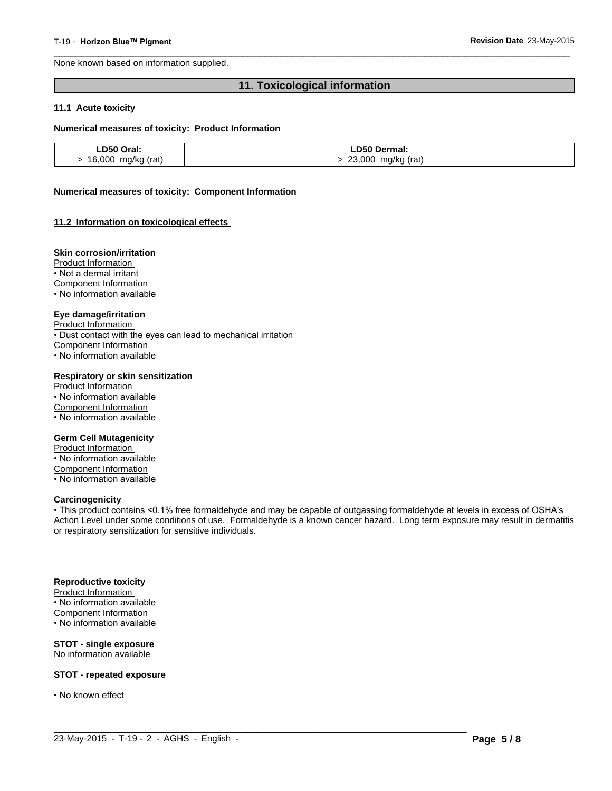None known based on information supplied.

# **11. Toxicological information**

 $\overline{\phantom{a}}$  ,  $\overline{\phantom{a}}$  ,  $\overline{\phantom{a}}$  ,  $\overline{\phantom{a}}$  ,  $\overline{\phantom{a}}$  ,  $\overline{\phantom{a}}$  ,  $\overline{\phantom{a}}$  ,  $\overline{\phantom{a}}$  ,  $\overline{\phantom{a}}$  ,  $\overline{\phantom{a}}$  ,  $\overline{\phantom{a}}$  ,  $\overline{\phantom{a}}$  ,  $\overline{\phantom{a}}$  ,  $\overline{\phantom{a}}$  ,  $\overline{\phantom{a}}$  ,  $\overline{\phantom{a}}$ 

#### **11.1 Acute toxicity**

#### **Numerical measures of toxicity: Product Information**

| LD50 Oral:         | ∟D50 Dermal:       |
|--------------------|--------------------|
| 16,000 mg/kg (rat) | 23,000 mg/kg (rat) |

#### **Numerical measures of toxicity: Component Information**

#### **11.2 Information on toxicological effects**

#### **Skin corrosion/irritation**

Product Information

- Not a dermal irritant
- Component Information
- No information available

#### **Eye damage/irritation**

Product Information

• Dust contact with the eyes can lead to mechanical irritation

Component Information

• No information available

#### **Respiratory or skin sensitization**

Product Information • No information available Component Information • No information available

#### **Germ Cell Mutagenicity**

Product Information • No information available Component Information • No information available

#### **Carcinogenicity**

• This product contains <0.1% free formaldehyde and may be capable of outgassing formaldehyde at levels in excess of OSHA's Action Level under some conditions of use. Formaldehyde is a known cancer hazard. Long term exposure may result in dermatitis or respiratory sensitization for sensitive individuals.

 $\_$  ,  $\_$  ,  $\_$  ,  $\_$  ,  $\_$  ,  $\_$  ,  $\_$  ,  $\_$  ,  $\_$  ,  $\_$  ,  $\_$  ,  $\_$  ,  $\_$  ,  $\_$  ,  $\_$  ,  $\_$  ,  $\_$  ,  $\_$  ,  $\_$  ,  $\_$  ,  $\_$  ,  $\_$  ,  $\_$  ,  $\_$  ,  $\_$  ,  $\_$  ,  $\_$  ,  $\_$  ,  $\_$  ,  $\_$  ,  $\_$  ,  $\_$  ,  $\_$  ,  $\_$  ,  $\_$  ,  $\_$  ,  $\_$  ,

#### **Reproductive toxicity**

Product Information • No information available Component Information • No information available

#### **STOT - single exposure** No information available

**STOT - repeated exposure**

• No known effect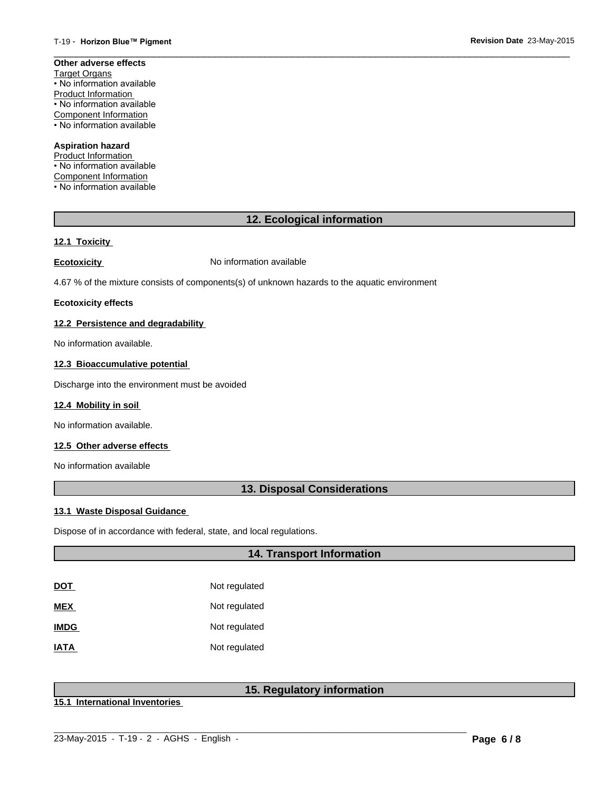#### **Other adverse effects** Target Organs • No information available Product Information • No information available Component Information

• No information available

## **Aspiration hazard**

Product Information • No information available Component Information • No information available

# **12. Ecological information**

 $\overline{\phantom{a}}$  ,  $\overline{\phantom{a}}$  ,  $\overline{\phantom{a}}$  ,  $\overline{\phantom{a}}$  ,  $\overline{\phantom{a}}$  ,  $\overline{\phantom{a}}$  ,  $\overline{\phantom{a}}$  ,  $\overline{\phantom{a}}$  ,  $\overline{\phantom{a}}$  ,  $\overline{\phantom{a}}$  ,  $\overline{\phantom{a}}$  ,  $\overline{\phantom{a}}$  ,  $\overline{\phantom{a}}$  ,  $\overline{\phantom{a}}$  ,  $\overline{\phantom{a}}$  ,  $\overline{\phantom{a}}$ 

# **12.1 Toxicity**

**Ecotoxicity No information available** 

4.67 % of the mixture consists of components(s) of unknown hazards to the aquatic environment

#### **Ecotoxicity effects**

#### **12.2 Persistence and degradability**

No information available.

### **12.3 Bioaccumulative potential**

Discharge into the environment must be avoided

#### **12.4 Mobility in soil**

No information available.

#### **12.5 Other adverse effects**

No information available

# **13. Disposal Considerations**

#### **13.1 Waste Disposal Guidance**

Dispose of in accordance with federal, state, and local regulations.

# **14. Transport Information**

| DOT         | Not regulated |
|-------------|---------------|
| MEX         | Not regulated |
| <b>IMDG</b> | Not regulated |
| <b>IATA</b> | Not regulated |

# **15. Regulatory information**

**15.1 International Inventories**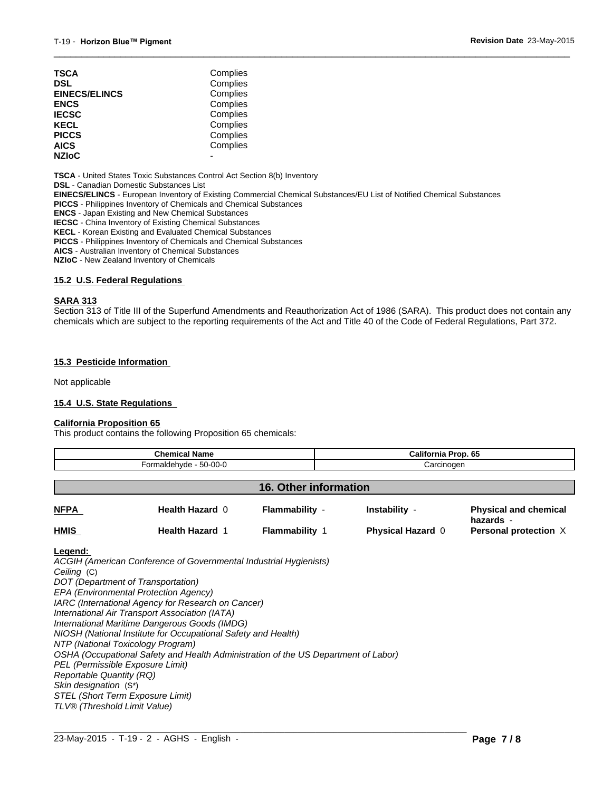| Complies |
|----------|
| Complies |
| Complies |
| Complies |
| Complies |
| Complies |
| Complies |
| Complies |
|          |
|          |

**TSCA** - United States Toxic Substances Control Act Section 8(b) Inventory

**DSL** - Canadian Domestic Substances List

**EINECS/ELINCS** - European Inventory of Existing Commercial Chemical Substances/EU List of Notified Chemical Substances

**PICCS** - Philippines Inventory of Chemicals and Chemical Substances

**ENCS** - Japan Existing and New Chemical Substances

**IECSC** - China Inventory of Existing Chemical Substances

**KECL** - Korean Existing and Evaluated Chemical Substances

**PICCS** - Philippines Inventory of Chemicals and Chemical Substances

**AICS** - Australian Inventory of Chemical Substances

**NZIoC** - New Zealand Inventory of Chemicals

#### **15.2 U.S. Federal Regulations**

#### **SARA 313**

Section 313 of Title III of the Superfund Amendments and Reauthorization Act of 1986 (SARA). This product does not contain any chemicals which are subject to the reporting requirements of the Act and Title 40 of the Code of Federal Regulations, Part 372.

 $\overline{\phantom{a}}$  ,  $\overline{\phantom{a}}$  ,  $\overline{\phantom{a}}$  ,  $\overline{\phantom{a}}$  ,  $\overline{\phantom{a}}$  ,  $\overline{\phantom{a}}$  ,  $\overline{\phantom{a}}$  ,  $\overline{\phantom{a}}$  ,  $\overline{\phantom{a}}$  ,  $\overline{\phantom{a}}$  ,  $\overline{\phantom{a}}$  ,  $\overline{\phantom{a}}$  ,  $\overline{\phantom{a}}$  ,  $\overline{\phantom{a}}$  ,  $\overline{\phantom{a}}$  ,  $\overline{\phantom{a}}$ 

#### **15.3 Pesticide Information**

Not applicable

#### **15.4 U.S. State Regulations**

#### **California Proposition 65**

This product contains the following Proposition 65 chemicals:

| Chemical Name                |                      |                       | California Prop. 65      |                                           |  |
|------------------------------|----------------------|-----------------------|--------------------------|-------------------------------------------|--|
| Formaldehyde - 50-00-0       |                      |                       | Carcinogen               |                                           |  |
| <b>16. Other information</b> |                      |                       |                          |                                           |  |
| <b>NFPA</b>                  | Health Hazard 0      | Flammability -        | Instability -            | <b>Physical and chemical</b><br>hazards - |  |
| <b>HMIS</b>                  | <b>Health Hazard</b> | <b>Flammability 1</b> | <b>Physical Hazard 0</b> | Personal protection X                     |  |

**Legend:** 

*ACGIH (American Conference of Governmental Industrial Hygienists) Ceiling* (C) *DOT (Department of Transportation) EPA (Environmental Protection Agency) IARC (International Agency for Research on Cancer) International Air Transport Association (IATA) International Maritime Dangerous Goods (IMDG) NIOSH (National Institute for Occupational Safety and Health) NTP (National Toxicology Program) OSHA (Occupational Safety and Health Administration of the US Department of Labor) PEL (Permissible Exposure Limit) Reportable Quantity (RQ) Skin designation* (S\*) *STEL (Short Term Exposure Limit) TLV® (Threshold Limit Value)*